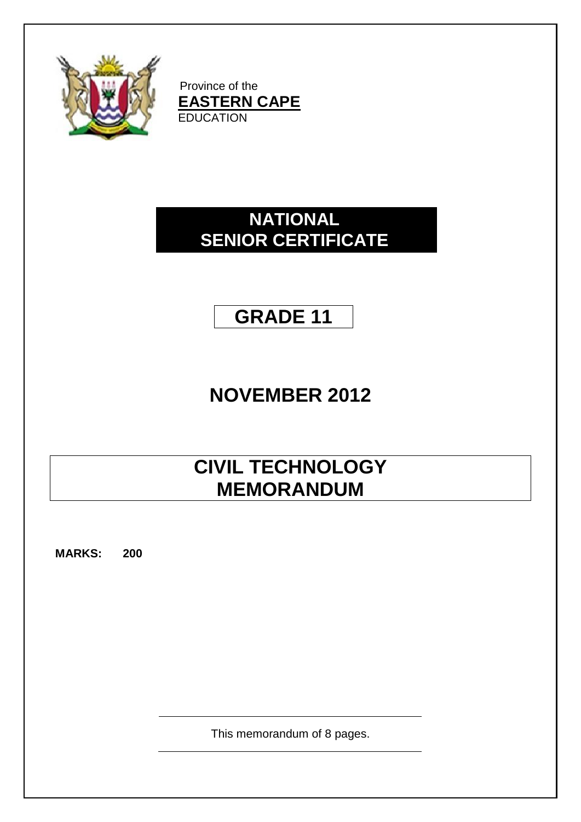

Province of the **EASTERN CAPE EDUCATION** 

### **NATIONAL SENIOR CERTIFICATE**

## **GRADE 11**

# **NOVEMBER 2012**

# **CIVIL TECHNOLOGY MEMORANDUM**

**MARKS: 200**

This memorandum of 8 pages.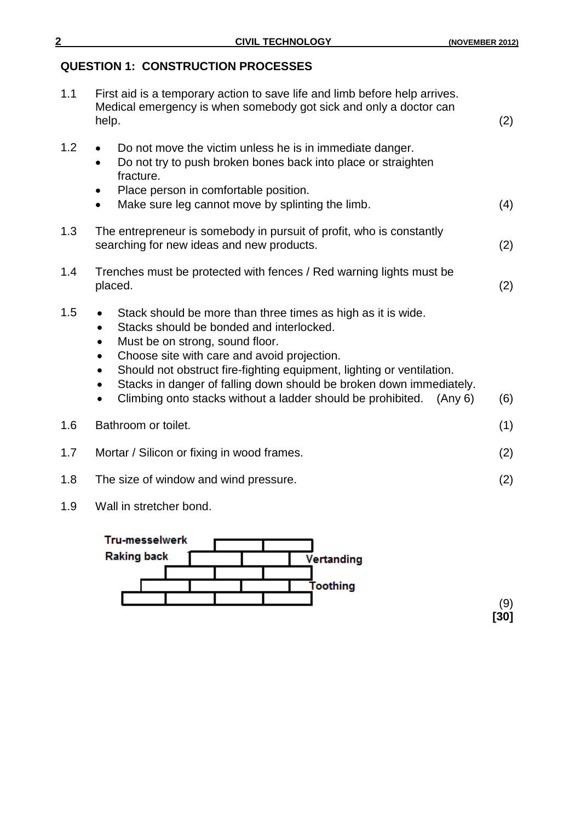### **QUESTION 1: CONSTRUCTION PROCESSES**

| 1.1 | First aid is a temporary action to save life and limb before help arrives.<br>Medical emergency is when somebody got sick and only a doctor can<br>help.                                                                                                                                                                                                                                                                                                                              | (2) |
|-----|---------------------------------------------------------------------------------------------------------------------------------------------------------------------------------------------------------------------------------------------------------------------------------------------------------------------------------------------------------------------------------------------------------------------------------------------------------------------------------------|-----|
| 1.2 | Do not move the victim unless he is in immediate danger.<br>$\bullet$<br>Do not try to push broken bones back into place or straighten<br>$\bullet$<br>fracture.<br>Place person in comfortable position.<br>$\bullet$<br>Make sure leg cannot move by splinting the limb.<br>٠                                                                                                                                                                                                       | (4) |
| 1.3 | The entrepreneur is somebody in pursuit of profit, who is constantly<br>searching for new ideas and new products.                                                                                                                                                                                                                                                                                                                                                                     | (2) |
| 1.4 | Trenches must be protected with fences / Red warning lights must be<br>placed.                                                                                                                                                                                                                                                                                                                                                                                                        | (2) |
| 1.5 | Stack should be more than three times as high as it is wide.<br>Stacks should be bonded and interlocked.<br>$\bullet$<br>Must be on strong, sound floor.<br>Choose site with care and avoid projection.<br>$\bullet$<br>Should not obstruct fire-fighting equipment, lighting or ventilation.<br>$\bullet$<br>Stacks in danger of falling down should be broken down immediately.<br>$\bullet$<br>Climbing onto stacks without a ladder should be prohibited.<br>(Any 6)<br>$\bullet$ | (6) |
| 1.6 | Bathroom or toilet.                                                                                                                                                                                                                                                                                                                                                                                                                                                                   | (1) |
| 1.7 | Mortar / Silicon or fixing in wood frames.                                                                                                                                                                                                                                                                                                                                                                                                                                            | (2) |
| 1.8 | The size of window and wind pressure.                                                                                                                                                                                                                                                                                                                                                                                                                                                 | (2) |

1.9 Wall in stretcher bond.



(9) **[30]**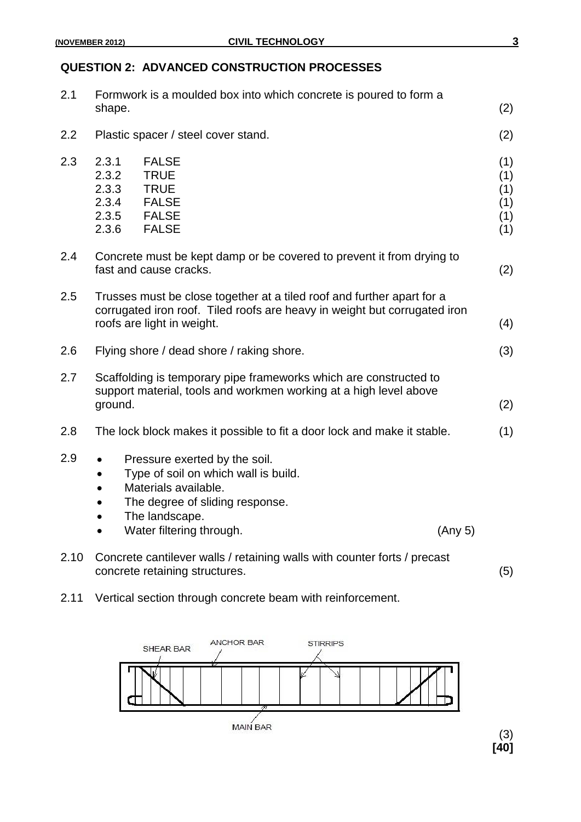#### **QUESTION 2: ADVANCED CONSTRUCTION PROCESSES**

| 2.1  | Formwork is a moulded box into which concrete is poured to form a<br>shape.                                                                                                       |                                                                                                                                                                                | (2)     |                                        |
|------|-----------------------------------------------------------------------------------------------------------------------------------------------------------------------------------|--------------------------------------------------------------------------------------------------------------------------------------------------------------------------------|---------|----------------------------------------|
| 2.2  |                                                                                                                                                                                   | Plastic spacer / steel cover stand.                                                                                                                                            |         | (2)                                    |
| 2.3  | 2.3.1<br>2.3.2<br>2.3.3<br>2.3.4<br>2.3.5<br>2.3.6                                                                                                                                | <b>FALSE</b><br><b>TRUE</b><br><b>TRUE</b><br><b>FALSE</b><br><b>FALSE</b><br><b>FALSE</b>                                                                                     |         | (1)<br>(1)<br>(1)<br>(1)<br>(1)<br>(1) |
| 2.4  | Concrete must be kept damp or be covered to prevent it from drying to<br>fast and cause cracks.                                                                                   |                                                                                                                                                                                |         | (2)                                    |
| 2.5  | Trusses must be close together at a tiled roof and further apart for a<br>corrugated iron roof. Tiled roofs are heavy in weight but corrugated iron<br>roofs are light in weight. |                                                                                                                                                                                |         | (4)                                    |
| 2.6  | Flying shore / dead shore / raking shore.                                                                                                                                         |                                                                                                                                                                                | (3)     |                                        |
| 2.7  | Scaffolding is temporary pipe frameworks which are constructed to<br>support material, tools and workmen working at a high level above<br>ground.                                 |                                                                                                                                                                                | (2)     |                                        |
| 2.8  | The lock block makes it possible to fit a door lock and make it stable.                                                                                                           |                                                                                                                                                                                | (1)     |                                        |
| 2.9  | $\bullet$<br>$\bullet$                                                                                                                                                            | Pressure exerted by the soil.<br>Type of soil on which wall is build.<br>Materials available.<br>The degree of sliding response.<br>The landscape.<br>Water filtering through. | (Any 5) |                                        |
| 2.10 | Concrete cantilever walls / retaining walls with counter forts / precast<br>concrete retaining structures.                                                                        |                                                                                                                                                                                | (5)     |                                        |
| 2.11 | Vertical section through concrete beam with reinforcement.                                                                                                                        |                                                                                                                                                                                |         |                                        |

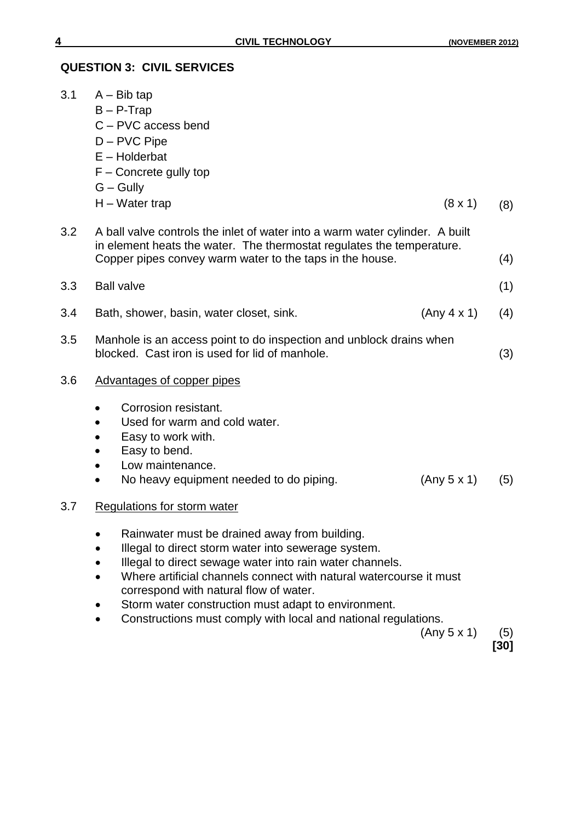#### **QUESTION 3: CIVIL SERVICES**

| 3.1 | $A - Bib tap$<br>$B - P$ -Trap<br>C - PVC access bend<br>D - PVC Pipe<br>$E - Holderbat$<br>$F -$ Concrete gully top<br>$G - Gully$                                                                                                                                                                                                     |     |  |  |
|-----|-----------------------------------------------------------------------------------------------------------------------------------------------------------------------------------------------------------------------------------------------------------------------------------------------------------------------------------------|-----|--|--|
|     | $H - Water trap$<br>$(8 \times 1)$                                                                                                                                                                                                                                                                                                      | (8) |  |  |
| 3.2 | A ball valve controls the inlet of water into a warm water cylinder. A built<br>in element heats the water. The thermostat regulates the temperature.<br>Copper pipes convey warm water to the taps in the house.                                                                                                                       |     |  |  |
| 3.3 | <b>Ball valve</b><br>(1)                                                                                                                                                                                                                                                                                                                |     |  |  |
| 3.4 | (Any 4 x 1)<br>Bath, shower, basin, water closet, sink.                                                                                                                                                                                                                                                                                 |     |  |  |
| 3.5 | Manhole is an access point to do inspection and unblock drains when<br>blocked. Cast iron is used for lid of manhole.                                                                                                                                                                                                                   |     |  |  |
| 3.6 | Advantages of copper pipes                                                                                                                                                                                                                                                                                                              |     |  |  |
|     | Corrosion resistant.<br>٠<br>Used for warm and cold water.<br>$\bullet$<br>Easy to work with.<br>٠<br>Easy to bend.<br>$\bullet$<br>Low maintenance.<br>$\bullet$<br>No heavy equipment needed to do piping.<br>(Any 5 x 1)<br>$\bullet$                                                                                                | (5) |  |  |
| 3.7 | Regulations for storm water                                                                                                                                                                                                                                                                                                             |     |  |  |
|     | Rainwater must be drained away from building.<br>Illegal to direct storm water into sewerage system.<br>Illegal to direct sewage water into rain water channels.<br>Where artificial channels connect with natural watercourse it must<br>correspond with natural flow of water.<br>Storm water construction must adapt to environment. |     |  |  |

Constructions must comply with local and national regulations.

 $(Any 5 x 1)$  (5)

**[30]**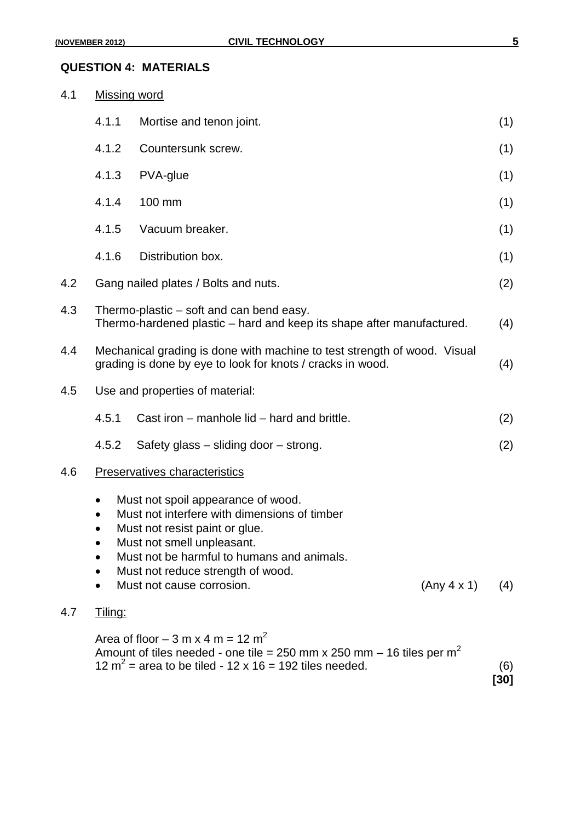#### **QUESTION 4: MATERIALS**

| 4.1<br><b>Missing word</b> |                                                                                                                   |                                                                                                                                                                                                                                                                                   |             |
|----------------------------|-------------------------------------------------------------------------------------------------------------------|-----------------------------------------------------------------------------------------------------------------------------------------------------------------------------------------------------------------------------------------------------------------------------------|-------------|
|                            | 4.1.1                                                                                                             | Mortise and tenon joint.                                                                                                                                                                                                                                                          | (1)         |
|                            | 4.1.2                                                                                                             | Countersunk screw.                                                                                                                                                                                                                                                                | (1)         |
|                            | 4.1.3                                                                                                             | PVA-glue                                                                                                                                                                                                                                                                          | (1)         |
|                            | 4.1.4                                                                                                             | 100 mm                                                                                                                                                                                                                                                                            | (1)         |
|                            | 4.1.5                                                                                                             | Vacuum breaker.                                                                                                                                                                                                                                                                   | (1)         |
|                            | 4.1.6                                                                                                             | Distribution box.                                                                                                                                                                                                                                                                 | (1)         |
| 4.2                        |                                                                                                                   | Gang nailed plates / Bolts and nuts.                                                                                                                                                                                                                                              | (2)         |
| 4.3                        | Thermo-plastic – soft and can bend easy.<br>Thermo-hardened plastic – hard and keep its shape after manufactured. |                                                                                                                                                                                                                                                                                   | (4)         |
| 4.4                        |                                                                                                                   | Mechanical grading is done with machine to test strength of wood. Visual<br>grading is done by eye to look for knots / cracks in wood.                                                                                                                                            |             |
| 4.5                        | Use and properties of material:                                                                                   |                                                                                                                                                                                                                                                                                   |             |
|                            | 4.5.1                                                                                                             | Cast iron - manhole lid - hard and brittle.                                                                                                                                                                                                                                       | (2)         |
|                            | 4.5.2                                                                                                             | Safety glass – sliding door – strong.                                                                                                                                                                                                                                             | (2)         |
| 4.6                        |                                                                                                                   | Preservatives characteristics                                                                                                                                                                                                                                                     |             |
|                            | $\bullet$                                                                                                         | Must not spoil appearance of wood.<br>Must not interfere with dimensions of timber<br>Must not resist paint or glue.<br>Must not smell unpleasant.<br>Must not be harmful to humans and animals.<br>Must not reduce strength of wood.<br>Must not cause corrosion.<br>(Any 4 x 1) | (4)         |
| 4.7                        | Tiling:                                                                                                           |                                                                                                                                                                                                                                                                                   |             |
|                            |                                                                                                                   | Area of floor $-3$ m x 4 m = 12 m <sup>2</sup><br>Amount of tiles needed - one tile = 250 mm x 250 mm $-$ 16 tiles per m <sup>2</sup><br>12 $m^2$ = area to be tiled - 12 x 16 = 192 tiles needed.                                                                                | (6)<br>[30] |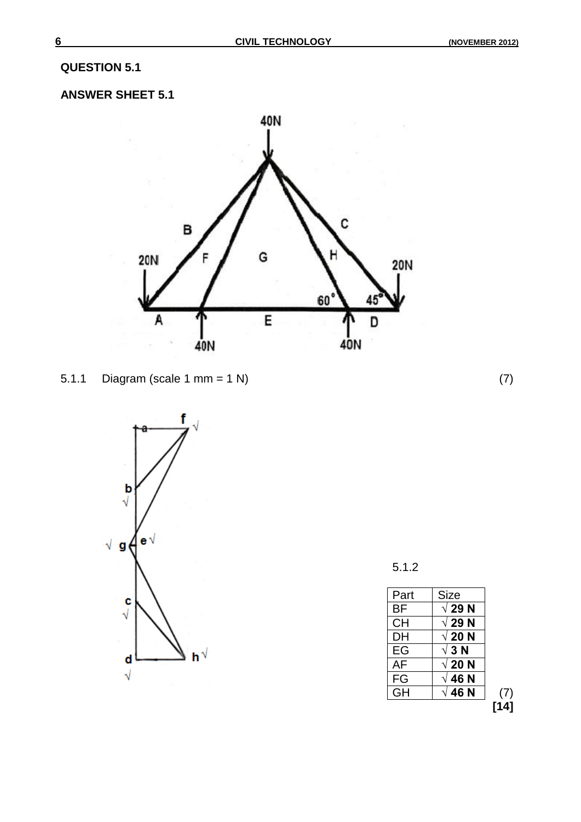### **QUESTION 5.1**

### **ANSWER SHEET 5.1**







5.1.2

| Part      | <b>Size</b>   |     |
|-----------|---------------|-----|
| BF        | $\sqrt{29}$ N |     |
| СH        | √ 29 N        |     |
| DH        | $\sqrt{20}$ N |     |
| EG        | √ 3 N         |     |
| AF        | $\sqrt{20}$ N |     |
| FG        | √ 46 N        |     |
| <b>GH</b> | √ 46 N        | (7) |
|           |               |     |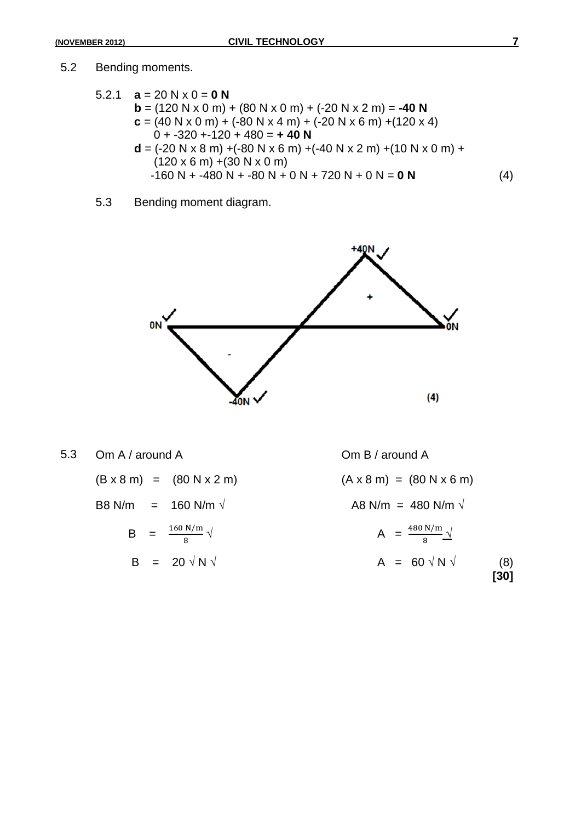#### 5.2 Bending moments.

5.2.1 
$$
\mathbf{a} = 20 \text{ N} \times 0 = \mathbf{0} \text{ N}
$$
  
\n $\mathbf{b} = (120 \text{ N} \times 0 \text{ m}) + (80 \text{ N} \times 0 \text{ m}) + (-20 \text{ N} \times 2 \text{ m}) = -40 \text{ N}$   
\n $\mathbf{c} = (40 \text{ N} \times 0 \text{ m}) + (-80 \text{ N} \times 4 \text{ m}) + (-20 \text{ N} \times 6 \text{ m}) + (120 \times 4)$   
\n $0 + -320 + -120 + 480 = +40 \text{ N}$   
\n $\mathbf{d} = (-20 \text{ N} \times 8 \text{ m}) + (-80 \text{ N} \times 6 \text{ m}) + (-40 \text{ N} \times 2 \text{ m}) + (10 \text{ N} \times 0 \text{ m}) + (120 \times 6 \text{ m}) + (30 \text{ N} \times 0 \text{ m})$   
\n $-160 \text{ N} + -480 \text{ N} + -80 \text{ N} + 0 \text{ N} + 720 \text{ N} + 0 \text{ N} = \mathbf{0} \text{ N}$  (4)

5.3 Bending moment diagram.



5.3 Om A / around A Om B / around A

| $(B \times 8 \text{ m})$ | (80 N x 2 m) |
|--------------------------|--------------|
|--------------------------|--------------|

$$
B = \frac{160 \text{ N/m}}{8} \sqrt{ }
$$

 $(B \times 8 \text{ m}) = (80 \text{ N} \times 2 \text{ m})$  (A  $\times 8 \text{ m} = (80 \text{ N} \times 6 \text{ m})$ ) B8 N/m = 160 N/m  $\sqrt{ }$  A8 N/m = 480 N/m  $\sqrt{ }$  $\sqrt{A} = \frac{460 \text{ N/m}}{8} \sqrt{A}$  $B = 20 \sqrt{N} \sqrt{A} = 60 \sqrt{N} \sqrt{B}$  (8) **[30]**